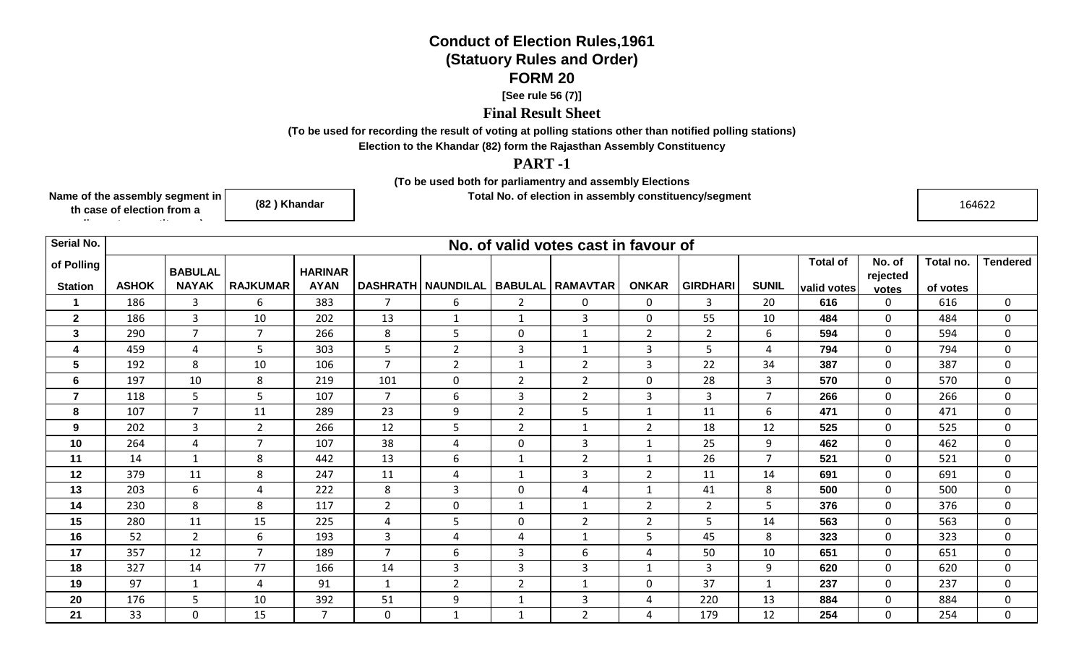## **Conduct of Election Rules,1961(Statuory Rules and Order)FORM 20**

## **[See rule 56 (7)]**

## **Final Result Sheet**

**(To be used for recording the result of voting at polling stations other than notified polling stations)**

**Election to the Khandar (82) form the Rajasthan Assembly Constituency**

## **PART -1**

**(To be used both for parliamentry and assembly Elections**

**Total No. of election in assembly constituency/segment** in the construction of the construction of the constructio<br>In the construction of the construction of the construction of the construction of the construction of the

**Name of the assembly segment in th case of election from a** 

**parliamentry constituency)**

**(82 ) Khandar**

| Serial No.     |              | No. of valid votes cast in favour of |                 |                |                |                             |                |                 |                |                 |                |                 |                    |           |                 |
|----------------|--------------|--------------------------------------|-----------------|----------------|----------------|-----------------------------|----------------|-----------------|----------------|-----------------|----------------|-----------------|--------------------|-----------|-----------------|
| of Polling     |              | <b>BABULAL</b>                       |                 | <b>HARINAR</b> |                |                             |                |                 |                |                 |                | <b>Total of</b> | No. of<br>rejected | Total no. | <b>Tendered</b> |
| <b>Station</b> | <b>ASHOK</b> | <b>NAYAK</b>                         | <b>RAJKUMAR</b> | <b>AYAN</b>    |                | <b>DASHRATH   NAUNDILAL</b> | <b>BABULAL</b> | <b>RAMAVTAR</b> | <b>ONKAR</b>   | <b>GIRDHARI</b> | <b>SUNIL</b>   | valid votes     | votes              | of votes  |                 |
| 1              | 186          | 3                                    | 6               | 383            | $\overline{7}$ | 6                           | $\overline{2}$ | $\mathbf{0}$    | $\mathbf 0$    | $\overline{3}$  | 20             | 616             | $\mathbf 0$        | 616       | $\mathbf 0$     |
| $\mathbf{2}$   | 186          | 3                                    | 10              | 202            | 13             | $\mathbf{1}$                | $\mathbf{1}$   | $\overline{3}$  | $\mathbf 0$    | 55              | 10             | 484             | $\mathbf 0$        | 484       | $\mathbf 0$     |
| 3              | 290          | $\overline{7}$                       | $\overline{7}$  | 266            | 8              | 5                           | $\mathbf 0$    | $\mathbf{1}$    | $\overline{2}$ | $\overline{2}$  | 6              | 594             | $\mathbf 0$        | 594       | $\mathbf 0$     |
| 4              | 459          | $\overline{4}$                       | 5               | 303            | 5              | $\overline{2}$              | 3              | $\mathbf{1}$    | 3              | 5               | $\overline{4}$ | 794             | $\mathbf 0$        | 794       | $\mathbf 0$     |
| 5              | 192          | 8                                    | 10              | 106            | $\overline{7}$ | $\overline{2}$              | $\mathbf{1}$   | $\overline{2}$  | $\overline{3}$ | 22              | 34             | 387             | $\mathbf 0$        | 387       | $\mathbf 0$     |
| 6              | 197          | 10                                   | 8               | 219            | 101            | 0                           | $\overline{2}$ | $\overline{2}$  | $\mathbf 0$    | 28              | $\overline{3}$ | 570             | $\mathbf 0$        | 570       | $\mathbf 0$     |
| $\overline{7}$ | 118          | 5                                    | 5               | 107            | $\overline{7}$ | 6                           | $\mathbf{3}$   | $2^{\circ}$     | 3              | $\mathbf{3}$    | $\overline{7}$ | 266             | $\mathbf 0$        | 266       | $\mathbf 0$     |
| 8              | 107          | $\overline{7}$                       | 11              | 289            | 23             | 9                           | $\overline{2}$ | 5               | $\mathbf 1$    | 11              | 6              | 471             | $\mathbf 0$        | 471       | $\mathbf 0$     |
| 9              | 202          | $\mathbf{3}$                         | $\overline{2}$  | 266            | 12             | 5                           | $\overline{2}$ | $\mathbf{1}$    | $\overline{2}$ | 18              | 12             | 525             | $\mathbf 0$        | 525       | $\mathbf 0$     |
| 10             | 264          | $\overline{4}$                       | $\overline{7}$  | 107            | 38             | 4                           | $\mathbf 0$    | 3               | $\mathbf 1$    | 25              | 9              | 462             | $\mathbf 0$        | 462       | $\mathbf 0$     |
| 11             | 14           | $\mathbf{1}$                         | 8               | 442            | 13             | 6                           | $\mathbf 1$    | $\overline{2}$  | $\mathbf{1}$   | 26              | $\overline{7}$ | 521             | $\mathbf 0$        | 521       | $\mathbf 0$     |
| 12             | 379          | 11                                   | 8               | 247            | 11             | 4                           | $\mathbf{1}$   | 3               | $\overline{2}$ | 11              | 14             | 691             | $\mathbf 0$        | 691       | $\mathbf 0$     |
| 13             | 203          | 6                                    | $\overline{4}$  | 222            | 8              | 3                           | $\mathbf 0$    | $\overline{4}$  | $\mathbf{1}$   | 41              | 8              | 500             | $\mathbf 0$        | 500       | $\mathbf 0$     |
| 14             | 230          | 8                                    | 8               | 117            | $\overline{2}$ | 0                           | $\mathbf{1}$   | $\mathbf{1}$    | $\overline{2}$ | $\overline{2}$  | 5              | 376             | $\mathbf 0$        | 376       | $\mathbf 0$     |
| 15             | 280          | 11                                   | 15              | 225            | $\overline{4}$ | 5                           | $\mathbf 0$    | $\overline{2}$  | $\overline{2}$ | 5               | 14             | 563             | $\mathbf 0$        | 563       | $\mathbf 0$     |
| 16             | 52           | $\overline{2}$                       | 6               | 193            | 3              | 4                           | 4              | $\mathbf{1}$    | 5              | 45              | 8              | 323             | $\overline{0}$     | 323       | $\mathbf 0$     |
| 17             | 357          | 12                                   | $\overline{7}$  | 189            | $\overline{7}$ | 6                           | 3              | 6               | $\overline{4}$ | 50              | 10             | 651             | 0                  | 651       | 0               |
| 18             | 327          | 14                                   | 77              | 166            | 14             | 3                           | 3              | 3               | $\mathbf{1}$   | $\overline{3}$  | 9              | 620             | $\mathbf 0$        | 620       | $\mathbf{0}$    |
| 19             | 97           | $1\,$                                | $\overline{4}$  | 91             | $\mathbf{1}$   | $\overline{2}$              | $\overline{2}$ | $\mathbf{1}$    | $\mathbf 0$    | 37              | $\mathbf{1}$   | 237             | $\mathbf 0$        | 237       | $\mathbf 0$     |
| 20             | 176          | 5                                    | 10              | 392            | 51             | 9                           |                | 3               | 4              | 220             | 13             | 884             | $\Omega$           | 884       | $\mathbf 0$     |
| 21             | 33           | $\mathbf 0$                          | 15              | $\overline{7}$ | $\mathbf 0$    | 1                           | $\mathbf{1}$   | $\overline{2}$  | 4              | 179             | 12             | 254             | $\mathbf 0$        | 254       | $\mathbf 0$     |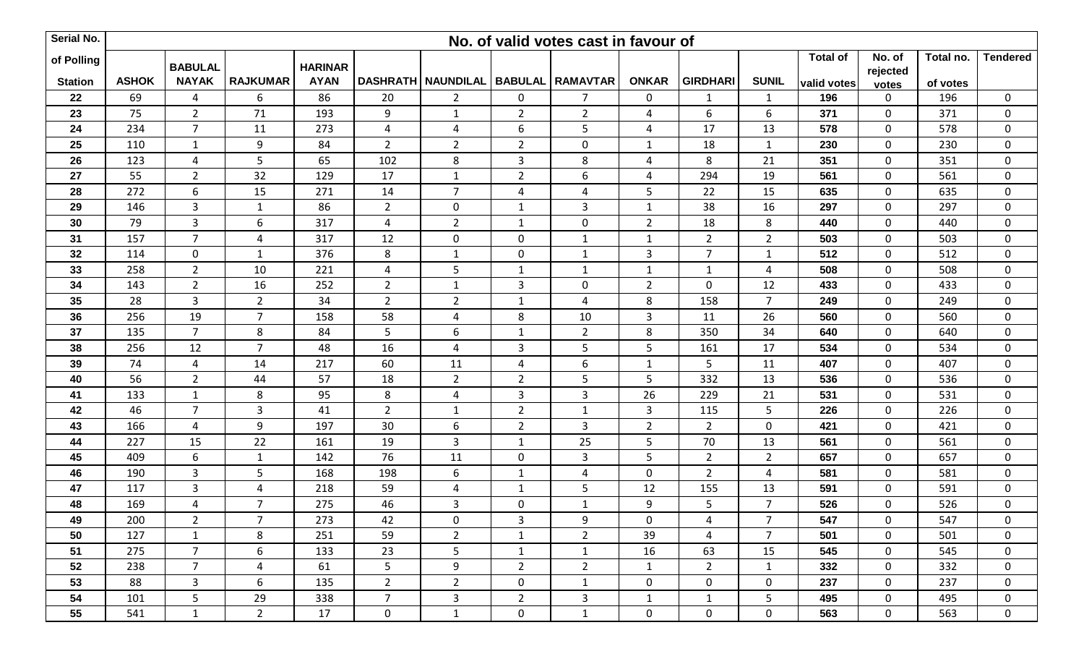| Serial No.     |              |                                |                         |                               |                 |                                |                | No. of valid votes cast in favour of |                |                 |                |                 |                   |           |                  |
|----------------|--------------|--------------------------------|-------------------------|-------------------------------|-----------------|--------------------------------|----------------|--------------------------------------|----------------|-----------------|----------------|-----------------|-------------------|-----------|------------------|
| of Polling     |              |                                |                         |                               |                 |                                |                |                                      |                |                 |                | <b>Total of</b> | No. of            | Total no. | <b>Tendered</b>  |
| <b>Station</b> | <b>ASHOK</b> | <b>BABULAL</b><br><b>NAYAK</b> | <b>RAJKUMAR</b>         | <b>HARINAR</b><br><b>AYAN</b> | <b>DASHRATH</b> | NAUNDILAL   BABULAL   RAMAVTAR |                |                                      | <b>ONKAR</b>   | <b>GIRDHARI</b> | <b>SUNIL</b>   | valid votes     | rejected<br>votes | of votes  |                  |
| 22             | 69           | $\overline{4}$                 | 6                       | 86                            | 20              | $\overline{2}$                 | $\mathbf 0$    | $\overline{7}$                       | 0              | $\mathbf{1}$    | $\mathbf{1}$   | 196             | 0                 | 196       | $\mathbf 0$      |
| 23             | 75           | $2^{\circ}$                    | 71                      | 193                           | 9               | $\mathbf{1}$                   | $2^{\circ}$    | $\overline{2}$                       | 4              | 6               | 6              | 371             | $\mathbf 0$       | 371       | $\mathbf 0$      |
| 24             | 234          | $\overline{7}$                 | 11                      | 273                           | $\overline{4}$  | $\overline{4}$                 | 6              | 5                                    | $\overline{a}$ | 17              | 13             | 578             | $\mathbf 0$       | 578       | $\mathbf 0$      |
| 25             | 110          | $\mathbf{1}$                   | 9                       | 84                            | $2^{\circ}$     | $\overline{2}$                 | $2^{\circ}$    | $\mathbf 0$                          | $\mathbf{1}$   | 18              | $\mathbf{1}$   | 230             | $\mathbf 0$       | 230       | $\mathbf 0$      |
| 26             | 123          | $\overline{\mathbf{4}}$        | 5                       | 65                            | 102             | 8                              | 3              | 8                                    | 4              | 8               | 21             | 351             | $\mathbf 0$       | 351       | $\mathbf 0$      |
| 27             | 55           | $\overline{2}$                 | 32                      | 129                           | 17              | $\mathbf{1}$                   | $2^{\circ}$    | 6                                    | 4              | 294             | 19             | 561             | $\mathbf 0$       | 561       | $\pmb{0}$        |
| 28             | 272          | $\boldsymbol{6}$               | 15                      | 271                           | 14              | $\overline{7}$                 | $\overline{4}$ | $\overline{4}$                       | 5              | 22              | 15             | 635             | $\pmb{0}$         | 635       | $\pmb{0}$        |
| 29             | 146          | $\mathbf{3}$                   | $\mathbf{1}$            | 86                            | $2^{\circ}$     | $\mathbf 0$                    | $\mathbf{1}$   | $\overline{3}$                       | $\mathbf{1}$   | 38              | 16             | 297             | $\mathbf 0$       | 297       | $\mathbf 0$      |
| 30             | 79           | $\overline{3}$                 | $\boldsymbol{6}$        | 317                           | 4               | $\overline{2}$                 | 1              | $\mathbf 0$                          | $\overline{2}$ | 18              | 8              | 440             | $\mathbf 0$       | 440       | $\pmb{0}$        |
| 31             | 157          | $\overline{7}$                 | $\overline{4}$          | 317                           | 12              | $\mathbf 0$                    | $\mathbf 0$    | $\mathbf{1}$                         | $\mathbf{1}$   | $\overline{2}$  | $\overline{2}$ | 503             | $\mathbf 0$       | 503       | $\mathbf 0$      |
| 32             | 114          | $\overline{0}$                 | $\mathbf{1}$            | 376                           | 8               | $\mathbf{1}$                   | $\mathbf 0$    | $\mathbf{1}$                         | $\overline{3}$ | $\overline{7}$  | $\mathbf{1}$   | 512             | $\mathbf 0$       | 512       | $\mathbf 0$      |
| 33             | 258          | $\overline{2}$                 | 10                      | 221                           | 4               | 5                              | $\mathbf{1}$   | $1\,$                                | $\mathbf{1}$   | $\mathbf{1}$    | $\overline{4}$ | 508             | $\mathbf 0$       | 508       | $\pmb{0}$        |
| 34             | 143          | $\overline{2}$                 | 16                      | 252                           | $2^{\circ}$     | $\mathbf{1}$                   | $\mathbf{3}$   | $\mathbf 0$                          | $\overline{2}$ | $\mathbf{0}$    | 12             | 433             | $\mathbf 0$       | 433       | $\mathbf 0$      |
| 35             | 28           | 3                              | $\overline{2}$          | 34                            | $\overline{2}$  | $\overline{2}$                 | $\mathbf{1}$   | $\overline{4}$                       | 8              | 158             | $\overline{7}$ | 249             | $\pmb{0}$         | 249       | $\boldsymbol{0}$ |
| 36             | 256          | 19                             | $\overline{7}$          | 158                           | 58              | $\overline{4}$                 | 8              | 10                                   | 3              | 11              | 26             | 560             | $\mathbf 0$       | 560       | $\mathbf 0$      |
| 37             | 135          | $\overline{7}$                 | 8                       | 84                            | 5               | 6                              | 1              | $\overline{2}$                       | 8              | 350             | 34             | 640             | $\mathbf 0$       | 640       | $\mathbf 0$      |
| 38             | 256          | 12                             | $\overline{7}$          | 48                            | 16              | $\overline{a}$                 | 3              | 5                                    | 5              | 161             | 17             | 534             | $\mathbf 0$       | 534       | $\mathbf 0$      |
| 39             | 74           | $\overline{\mathbf{4}}$        | 14                      | 217                           | 60              | 11                             | $\overline{4}$ | 6                                    | $\mathbf{1}$   | 5               | 11             | 407             | $\mathbf 0$       | 407       | $\pmb{0}$        |
| 40             | 56           | $\overline{2}$                 | 44                      | 57                            | 18              | $\overline{2}$                 | $2^{\circ}$    | 5                                    | 5              | 332             | 13             | 536             | $\mathbf 0$       | 536       | $\pmb{0}$        |
| 41             | 133          | $\mathbf{1}$                   | 8                       | 95                            | 8               | $\overline{4}$                 | $\mathbf{3}$   | $\mathbf{3}$                         | 26             | 229             | 21             | 531             | $\mathbf 0$       | 531       | $\mathbf 0$      |
| 42             | 46           | $\overline{7}$                 | $\overline{3}$          | 41                            | $\overline{2}$  | $\mathbf{1}$                   | $\overline{2}$ | $\mathbf{1}$                         | $\mathbf{3}$   | 115             | 5              | 226             | $\mathbf 0$       | 226       | $\mathbf 0$      |
| 43             | 166          | $\overline{\mathbf{4}}$        | 9                       | 197                           | 30              | 6                              | $2^{\circ}$    | 3                                    | $\overline{2}$ | $\overline{2}$  | $\mathbf 0$    | 421             | $\mathbf 0$       | 421       | $\mathbf 0$      |
| 44             | 227          | 15                             | 22                      | 161                           | 19              | $\overline{3}$                 | $\mathbf{1}$   | 25                                   | 5              | 70              | 13             | 561             | $\mathbf 0$       | 561       | $\mathbf 0$      |
| 45             | 409          | $\boldsymbol{6}$               | $\mathbf{1}$            | 142                           | 76              | 11                             | $\mathbf 0$    | $\mathbf{3}$                         | 5              | $\overline{2}$  | $\overline{2}$ | 657             | $\mathbf 0$       | 657       | $\mathbf 0$      |
| 46             | 190          | 3                              | 5                       | 168                           | 198             | 6                              | $\mathbf{1}$   | $\overline{4}$                       | $\mathbf 0$    | $2^{\circ}$     | 4              | 581             | $\mathbf 0$       | 581       | $\mathbf 0$      |
| 47             | 117          | 3                              | $\overline{\mathbf{4}}$ | 218                           | 59              | 4                              | $\mathbf{1}$   | 5                                    | 12             | 155             | 13             | 591             | $\pmb{0}$         | 591       | $\pmb{0}$        |
| 48             | 169          | $\overline{4}$                 | $\overline{7}$          | 275                           | 46              | 3                              | $\mathbf 0$    | $\mathbf{1}$                         | 9              | 5               | $\overline{7}$ | 526             | $\mathbf 0$       | 526       | $\mathbf 0$      |
| 49             | 200          | $\overline{2}$                 | $\overline{7}$          | 273                           | 42              | $\mathbf 0$                    | 3              | 9                                    | $\mathbf 0$    | 4               | $\overline{7}$ | 547             | $\mathbf 0$       | 547       | 0                |
| 50             | 127          | $\mathbf{1}$                   | 8                       | 251                           | 59              | $\overline{2}$                 | $\mathbf{1}$   | $\overline{2}$                       | 39             | $\overline{4}$  | $\overline{7}$ | 501             | $\mathbf 0$       | 501       | $\mathbf 0$      |
| 51             | 275          | $\overline{7}$                 | 6                       | 133                           | 23              | 5 <sub>1</sub>                 | $\mathbf{1}$   | $\mathbf{1}$                         | 16             | 63              | 15             | 545             | $\mathbf 0$       | 545       | $\mathbf 0$      |
| 52             | 238          | $\overline{7}$                 | $\overline{4}$          | 61                            | 5 <sup>1</sup>  | 9                              | $2^{\circ}$    | $\overline{2}$                       | $\mathbf{1}$   | $\overline{2}$  | $\mathbf{1}$   | 332             | 0                 | 332       | $\mathbf 0$      |
| 53             | 88           | 3                              | 6                       | 135                           | $2^{\circ}$     | $\overline{2}$                 | $\mathbf 0$    | $\mathbf{1}$                         | 0              | 0               | $\mathbf 0$    | 237             | 0                 | 237       | $\mathbf 0$      |
| 54             | 101          | 5 <sup>1</sup>                 | 29                      | 338                           | $7^{\circ}$     | $\overline{3}$                 | $2^{\circ}$    | $\overline{3}$                       | $\mathbf{1}$   | $\mathbf{1}$    | 5              | 495             | $\mathbf 0$       | 495       | $\mathbf 0$      |
| 55             | 541          | $\mathbf{1}$                   | $2^{\circ}$             | 17                            | $\mathbf 0$     | $\mathbf{1}$                   | $\mathbf{0}$   | $\mathbf{1}$                         | $\mathbf 0$    | $\overline{0}$  | $\mathbf 0$    | 563             | $\mathbf 0$       | 563       | $\mathbf 0$      |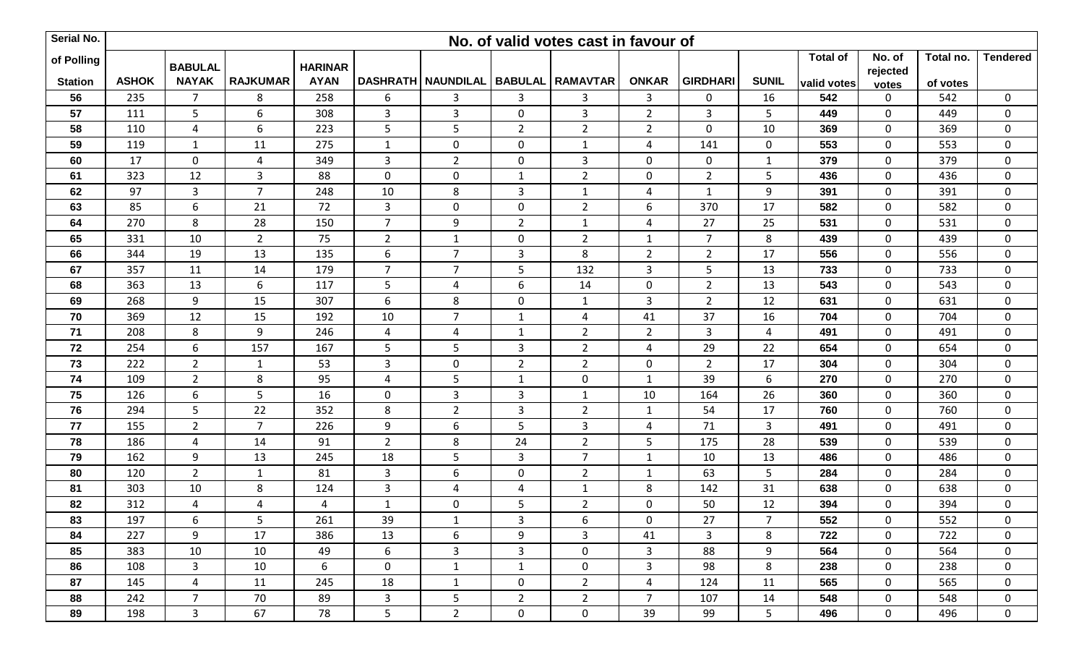| Serial No.     |              |                |                 |                |                |                                         |                | No. of valid votes cast in favour of |                |                 |                |                 |                   |           |                  |
|----------------|--------------|----------------|-----------------|----------------|----------------|-----------------------------------------|----------------|--------------------------------------|----------------|-----------------|----------------|-----------------|-------------------|-----------|------------------|
| of Polling     |              | <b>BABULAL</b> |                 | <b>HARINAR</b> |                |                                         |                |                                      |                |                 |                | <b>Total of</b> | No. of            | Total no. | <b>Tendered</b>  |
| <b>Station</b> | <b>ASHOK</b> | <b>NAYAK</b>   | <b>RAJKUMAR</b> | <b>AYAN</b>    |                | DASHRATH NAUNDILAL   BABULAL   RAMAVTAR |                |                                      | <b>ONKAR</b>   | <b>GIRDHARI</b> | <b>SUNIL</b>   | valid votes     | rejected<br>votes | of votes  |                  |
| 56             | 235          | $\overline{7}$ | 8               | 258            | 6              | 3                                       | 3              | $\mathbf{3}$                         | 3              | 0               | 16             | 542             | 0                 | 542       | $\mathbf 0$      |
| 57             | 111          | 5              | 6               | 308            | 3              | $\mathbf{3}$                            | $\mathbf 0$    | $\mathbf{3}$                         | $\overline{2}$ | $\mathbf{3}$    | 5              | 449             | $\mathbf 0$       | 449       | $\mathbf 0$      |
| 58             | 110          | $\overline{4}$ | 6               | 223            | 5              | 5                                       | $\overline{2}$ | $\overline{2}$                       | $\overline{2}$ | 0               | 10             | 369             | $\mathbf 0$       | 369       | 0                |
| 59             | 119          | $\mathbf{1}$   | 11              | 275            | $\mathbf{1}$   | $\mathbf 0$                             | $\mathbf 0$    | $\mathbf{1}$                         | 4              | 141             | $\mathbf 0$    | 553             | $\mathbf 0$       | 553       | $\mathbf 0$      |
| 60             | 17           | $\mathbf 0$    | $\overline{a}$  | 349            | $\mathbf{3}$   | $\overline{2}$                          | $\mathbf 0$    | $\mathsf 3$                          | $\mathbf 0$    | 0               | $\mathbf{1}$   | 379             | $\mathbf 0$       | 379       | $\mathbf 0$      |
| 61             | 323          | 12             | $\mathbf{3}$    | 88             | $\mathbf 0$    | $\mathbf 0$                             | 1              | $\overline{2}$                       | $\mathbf 0$    | $\overline{2}$  | 5              | 436             | $\mathbf 0$       | 436       | $\mathbf 0$      |
| 62             | 97           | 3              | $\overline{7}$  | 248            | 10             | 8                                       | 3              | $\mathbf{1}$                         | 4              | $\mathbf{1}$    | 9              | 391             | $\pmb{0}$         | 391       | $\pmb{0}$        |
| 63             | 85           | $6\phantom{1}$ | 21              | 72             | $\mathbf{3}$   | $\mathbf 0$                             | $\mathbf 0$    | $\overline{2}$                       | 6              | 370             | 17             | 582             | $\mathbf 0$       | 582       | $\mathbf 0$      |
| 64             | 270          | 8              | 28              | 150            | $\overline{7}$ | 9                                       | $\overline{2}$ | $\mathbf{1}$                         | 4              | 27              | 25             | 531             | $\mathbf 0$       | 531       | $\pmb{0}$        |
| 65             | 331          | 10             | $\overline{2}$  | 75             | $\overline{2}$ | $\mathbf{1}$                            | 0              | $\overline{2}$                       | $\mathbf{1}$   | 7               | 8              | 439             | $\mathbf 0$       | 439       | $\mathbf 0$      |
| 66             | 344          | 19             | 13              | 135            | 6              | $\overline{7}$                          | 3              | 8                                    | $\overline{2}$ | $\overline{2}$  | 17             | 556             | $\mathbf 0$       | 556       | $\pmb{0}$        |
| 67             | 357          | 11             | 14              | 179            | $\overline{7}$ | $\overline{7}$                          | 5              | 132                                  | $\mathbf{3}$   | 5               | 13             | 733             | $\mathbf 0$       | 733       | $\pmb{0}$        |
| 68             | 363          | 13             | 6               | 117            | 5              | $\overline{4}$                          | 6              | 14                                   | $\mathbf 0$    | $\overline{2}$  | 13             | 543             | $\mathbf 0$       | 543       | $\mathbf 0$      |
| 69             | 268          | 9              | 15              | 307            | 6              | 8                                       | $\mathbf 0$    | $\mathbf{1}$                         | $\mathbf{3}$   | $\overline{2}$  | 12             | 631             | $\mathbf 0$       | 631       | $\boldsymbol{0}$ |
| 70             | 369          | 12             | 15              | 192            | 10             | $\overline{7}$                          | $\mathbf{1}$   | 4                                    | 41             | 37              | 16             | 704             | $\mathbf 0$       | 704       | $\mathbf 0$      |
| 71             | 208          | 8              | 9               | 246            | 4              | $\overline{4}$                          | 1              | $\overline{2}$                       | $\overline{2}$ | $\overline{3}$  | 4              | 491             | $\mathbf 0$       | 491       | $\mathbf 0$      |
| 72             | 254          | $6\,$          | 157             | 167            | 5              | 5                                       | 3              | $\overline{2}$                       | $\overline{4}$ | 29              | 22             | 654             | $\mathbf 0$       | 654       | $\mathbf 0$      |
| 73             | 222          | $\overline{2}$ | $\mathbf{1}$    | 53             | 3              | $\mathbf 0$                             | $\overline{2}$ | $\overline{2}$                       | $\mathbf 0$    | $2^{\circ}$     | 17             | 304             | $\mathbf 0$       | 304       | $\pmb{0}$        |
| 74             | 109          | $\overline{2}$ | 8               | 95             | $\overline{4}$ | 5                                       | 1              | $\mathbf 0$                          | $\mathbf{1}$   | 39              | 6              | 270             | $\pmb{0}$         | 270       | $\pmb{0}$        |
| 75             | 126          | 6              | 5 <sub>1</sub>  | 16             | $\mathbf 0$    | $\mathbf{3}$                            | 3              | $\mathbf{1}$                         | 10             | 164             | 26             | 360             | $\mathbf 0$       | 360       | $\mathbf 0$      |
| 76             | 294          | 5              | 22              | 352            | 8              | $\overline{2}$                          | 3              | $\overline{2}$                       | $1\,$          | 54              | 17             | 760             | $\mathbf 0$       | 760       | $\pmb{0}$        |
| 77             | 155          | $\overline{2}$ | $\overline{7}$  | 226            | 9              | 6                                       | 5              | 3                                    | 4              | 71              | 3              | 491             | 0                 | 491       | $\mathbf 0$      |
| 78             | 186          | 4              | 14              | 91             | $\overline{2}$ | 8                                       | 24             | $\overline{2}$                       | 5              | 175             | 28             | 539             | $\mathbf 0$       | 539       | $\pmb{0}$        |
| 79             | 162          | $9\,$          | 13              | 245            | 18             | 5                                       | 3              | $\overline{7}$                       | $\mathbf{1}$   | 10              | 13             | 486             | $\mathbf 0$       | 486       | $\mathbf 0$      |
| 80             | 120          | $\overline{2}$ | $\mathbf{1}$    | 81             | 3              | 6                                       | $\mathbf 0$    | $\overline{2}$                       | $\mathbf{1}$   | 63              | 5              | 284             | $\mathbf 0$       | 284       | $\mathbf 0$      |
| 81             | 303          | 10             | $\bf 8$         | 124            | 3              | $\overline{a}$                          | 4              | $\mathbf 1$                          | 8              | 142             | 31             | 638             | $\mathbf 0$       | 638       | $\pmb{0}$        |
| 82             | 312          | 4              | $\overline{4}$  | 4              | $\mathbf{1}$   | $\mathbf 0$                             | 5              | $\overline{2}$                       | $\mathbf 0$    | 50              | 12             | 394             | $\mathbf 0$       | 394       | $\mathbf 0$      |
| 83             | 197          | 6              | 5               | 261            | 39             | $\mathbf{1}$                            | 3              | 6                                    | $\mathbf 0$    | 27              | $\overline{7}$ | 552             | $\mathbf 0$       | 552       | 0                |
| 84             | 227          | 9              | 17              | 386            | 13             | 6                                       | 9              | $\mathbf{3}$                         | 41             | $\overline{3}$  | 8              | 722             | $\mathbf 0$       | 722       | $\mathbf 0$      |
| 85             | 383          | 10             | 10              | 49             | 6              | $\mathbf{3}$                            | $\mathbf{3}$   | $\mathbf 0$                          | $\mathbf{3}$   | 88              | 9              | 564             | $\mathbf 0$       | 564       | $\mathbf 0$      |
| 86             | 108          | $\mathbf{3}$   | 10              | 6              | $\mathbf{0}$   | $\mathbf{1}$                            | $\mathbf{1}$   | $\mathbf 0$                          | $\mathbf{3}$   | 98              | 8              | 238             | 0                 | 238       | 0                |
| 87             | 145          | $\overline{4}$ | 11              | 245            | 18             | $\mathbf{1}$                            | $\mathbf 0$    | $2^{\circ}$                          | 4              | 124             | 11             | 565             | 0                 | 565       | 0                |
| 88             | 242          | $7^{\circ}$    | 70              | 89             | $\mathbf{3}$   | 5                                       | $2^{\circ}$    | $\overline{2}$                       | $\overline{7}$ | 107             | 14             | 548             | $\mathbf 0$       | 548       | $\mathbf 0$      |
| 89             | 198          | $\mathbf{3}$   | 67              | 78             | 5 <sub>1</sub> | $2^{\circ}$                             | $\mathbf 0$    | $\mathbf 0$                          | 39             | 99              | 5              | 496             | 0                 | 496       | 0                |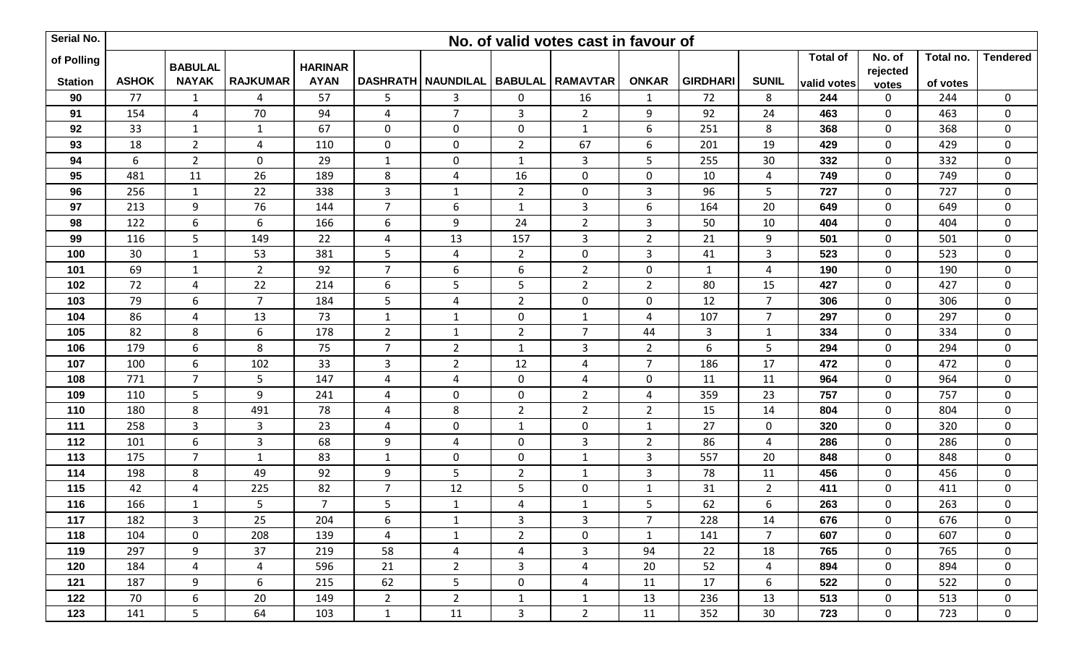| Serial No.     |              |                |                         |                |                |                                         |                | No. of valid votes cast in favour of |                |                 |                |                 |                   |           |                  |
|----------------|--------------|----------------|-------------------------|----------------|----------------|-----------------------------------------|----------------|--------------------------------------|----------------|-----------------|----------------|-----------------|-------------------|-----------|------------------|
| of Polling     |              | <b>BABULAL</b> |                         | <b>HARINAR</b> |                |                                         |                |                                      |                |                 |                | <b>Total of</b> | No. of            | Total no. | <b>Tendered</b>  |
| <b>Station</b> | <b>ASHOK</b> | <b>NAYAK</b>   | <b>RAJKUMAR</b>         | <b>AYAN</b>    |                | DASHRATH NAUNDILAL   BABULAL   RAMAVTAR |                |                                      | <b>ONKAR</b>   | <b>GIRDHARI</b> | <b>SUNIL</b>   | valid votes     | rejected<br>votes | of votes  |                  |
| 90             | 77           | $\mathbf{1}$   | $\overline{4}$          | 57             | 5              | 3                                       | $\mathbf 0$    | 16                                   | $\mathbf{1}$   | 72              | 8              | 244             | 0                 | 244       | $\mathbf 0$      |
| 91             | 154          | 4              | 70                      | 94             | 4              | $\overline{7}$                          | 3              | $\overline{2}$                       | 9              | 92              | 24             | 463             | $\mathbf 0$       | 463       | $\mathbf 0$      |
| 92             | 33           | $\mathbf{1}$   | $\mathbf{1}$            | 67             | $\mathbf 0$    | $\mathbf 0$                             | $\mathbf 0$    | $\mathbf{1}$                         | 6              | 251             | 8              | 368             | $\mathbf 0$       | 368       | 0                |
| 93             | 18           | $2^{\circ}$    | $\overline{\mathbf{4}}$ | 110            | $\mathbf 0$    | $\mathbf 0$                             | $\overline{2}$ | 67                                   | 6              | 201             | 19             | 429             | $\mathbf 0$       | 429       | $\mathbf 0$      |
| 94             | 6            | $\overline{2}$ | $\pmb{0}$               | 29             | $\mathbf{1}$   | $\mathbf 0$                             | 1              | $\mathsf 3$                          | 5              | 255             | 30             | 332             | $\mathbf 0$       | 332       | $\mathbf 0$      |
| 95             | 481          | 11             | 26                      | 189            | 8              | $\overline{4}$                          | 16             | $\mathbf 0$                          | $\mathbf 0$    | 10              | $\overline{4}$ | 749             | $\mathbf 0$       | 749       | $\mathbf 0$      |
| 96             | 256          | $\mathbf{1}$   | 22                      | 338            | 3              | $\mathbf{1}$                            | $\overline{2}$ | $\pmb{0}$                            | $\mathbf{3}$   | 96              | 5              | 727             | $\pmb{0}$         | 727       | $\mathbf 0$      |
| 97             | 213          | 9              | 76                      | 144            | $\overline{7}$ | 6                                       | $\mathbf{1}$   | $\mathbf{3}$                         | 6              | 164             | 20             | 649             | $\mathbf 0$       | 649       | $\mathbf 0$      |
| 98             | 122          | 6              | 6                       | 166            | 6              | 9                                       | 24             | $\overline{2}$                       | 3              | 50              | 10             | 404             | $\mathbf 0$       | 404       | $\mathbf 0$      |
| 99             | 116          | 5              | 149                     | 22             | 4              | 13                                      | 157            | 3                                    | $\overline{2}$ | 21              | 9              | 501             | $\mathbf 0$       | 501       | $\mathbf 0$      |
| 100            | 30           | $\mathbf 1$    | 53                      | 381            | 5              | $\overline{4}$                          | $\overline{2}$ | $\mathbf 0$                          | $\overline{3}$ | $41\,$          | $\overline{3}$ | 523             | $\mathbf 0$       | 523       | $\pmb{0}$        |
| 101            | 69           | $\mathbf{1}$   | $\overline{2}$          | 92             | $\overline{7}$ | 6                                       | 6              | $\overline{2}$                       | $\mathbf 0$    | $\mathbf{1}$    | $\overline{4}$ | 190             | $\mathbf 0$       | 190       | $\pmb{0}$        |
| 102            | 72           | $\overline{4}$ | 22                      | 214            | 6              | 5                                       | 5              | $\overline{2}$                       | $\overline{2}$ | 80              | 15             | 427             | $\mathbf 0$       | 427       | $\mathbf 0$      |
| 103            | 79           | 6              | $\overline{7}$          | 184            | 5              | $\overline{4}$                          | $\overline{2}$ | $\mathbf 0$                          | $\mathbf 0$    | 12              | $\overline{7}$ | 306             | $\mathbf 0$       | 306       | $\boldsymbol{0}$ |
| 104            | 86           | 4              | 13                      | 73             | $\mathbf{1}$   | $\mathbf{1}$                            | $\mathbf 0$    | $\mathbf{1}$                         | 4              | 107             | $\overline{7}$ | 297             | $\mathbf 0$       | 297       | $\mathbf 0$      |
| 105            | 82           | 8              | 6                       | 178            | $2^{\circ}$    | $\mathbf{1}$                            | $\overline{2}$ | $\overline{7}$                       | 44             | $\overline{3}$  | $\mathbf{1}$   | 334             | $\mathbf 0$       | 334       | $\mathbf 0$      |
| 106            | 179          | 6              | 8                       | 75             | $\overline{7}$ | $\overline{2}$                          | $\mathbf{1}$   | $\overline{3}$                       | $\overline{2}$ | 6               | 5              | 294             | $\mathbf 0$       | 294       | $\mathbf 0$      |
| 107            | 100          | 6              | 102                     | 33             | 3              | $\overline{2}$                          | 12             | $\overline{4}$                       | $\overline{7}$ | 186             | 17             | 472             | $\mathbf 0$       | 472       | $\pmb{0}$        |
| 108            | 771          | $\overline{7}$ | 5                       | 147            | $\overline{4}$ | $\overline{4}$                          | $\mathbf 0$    | $\overline{4}$                       | $\mathbf 0$    | 11              | 11             | 964             | $\pmb{0}$         | 964       | $\pmb{0}$        |
| 109            | 110          | 5              | 9                       | 241            | $\overline{4}$ | $\mathbf 0$                             | $\mathbf 0$    | $\overline{2}$                       | 4              | 359             | 23             | 757             | $\mathbf 0$       | 757       | $\mathbf 0$      |
| 110            | 180          | 8              | 491                     | 78             | 4              | 8                                       | $\overline{2}$ | $\overline{2}$                       | $\overline{2}$ | 15              | 14             | 804             | $\mathbf 0$       | 804       | $\pmb{0}$        |
| 111            | 258          | 3              | 3                       | 23             | 4              | $\mathbf 0$                             | -1             | $\mathbf 0$                          | $\mathbf{1}$   | 27              | $\mathbf 0$    | 320             | 0                 | 320       | $\mathbf 0$      |
| 112            | 101          | 6              | $\overline{\mathbf{3}}$ | 68             | 9              | $\overline{4}$                          | $\mathbf 0$    | $\overline{3}$                       | $\overline{2}$ | 86              | $\overline{4}$ | 286             | $\mathbf 0$       | 286       | $\pmb{0}$        |
| 113            | 175          | $\overline{7}$ | $\mathbf{1}$            | 83             | $\mathbf{1}$   | $\mathbf 0$                             | $\mathbf 0$    | $\mathbf{1}$                         | $\mathbf{3}$   | 557             | 20             | 848             | $\mathbf 0$       | 848       | $\mathbf 0$      |
| 114            | 198          | 8              | 49                      | 92             | 9              | 5                                       | $\overline{2}$ | $\mathbf{1}$                         | $\mathbf{3}$   | 78              | 11             | 456             | $\mathbf 0$       | 456       | $\mathbf 0$      |
| 115            | 42           | $\overline{4}$ | 225                     | 82             | $\overline{7}$ | 12                                      | 5              | $\boldsymbol{0}$                     | $\mathbf 1$    | 31              | $\overline{2}$ | 411             | $\pmb{0}$         | 411       | $\mathbf 0$      |
| 116            | 166          | $\mathbf{1}$   | 5                       | $7^{\circ}$    | 5              | $\mathbf{1}$                            | $\overline{4}$ | $\mathbf{1}$                         | 5              | 62              | 6              | 263             | $\mathbf 0$       | 263       | $\mathbf 0$      |
| 117            | 182          | 3              | 25                      | 204            | 6              | $\mathbf{1}$                            | $\mathbf{3}$   | 3                                    | $\overline{7}$ | 228             | 14             | 676             | $\mathbf 0$       | 676       | 0                |
| 118            | 104          | $\mathbf 0$    | 208                     | 139            | 4              | $\mathbf{1}$                            | $2^{\circ}$    | $\mathbf 0$                          | $\mathbf{1}$   | 141             | $\overline{7}$ | 607             | $\mathbf 0$       | 607       | $\mathbf 0$      |
| 119            | 297          | 9              | 37                      | 219            | 58             | $\overline{4}$                          | $\overline{4}$ | $\mathbf{3}$                         | 94             | 22              | 18             | 765             | $\mathbf 0$       | 765       | $\mathbf 0$      |
| 120            | 184          | $\overline{4}$ | $\overline{4}$          | 596            | 21             | $\overline{2}$                          | 3              | $\overline{4}$                       | 20             | 52              | $\overline{4}$ | 894             | $\mathbf 0$       | 894       | 0                |
| 121            | 187          | 9              | 6                       | 215            | 62             | 5                                       | $\mathbf 0$    | $\overline{4}$                       | 11             | 17              | 6              | 522             | 0                 | 522       | 0                |
| 122            | 70           | 6              | 20                      | 149            | $2^{\circ}$    | $2^{\circ}$                             | $\mathbf{1}$   | $\mathbf{1}$                         | 13             | 236             | 13             | 513             | $\mathbf 0$       | 513       | $\mathbf 0$      |
| 123            | 141          | 5              | 64                      | 103            | 1              | 11                                      | $\mathbf{3}$   | $\overline{2}$                       | 11             | 352             | 30             | 723             | $\mathbf 0$       | 723       | $\mathbf 0$      |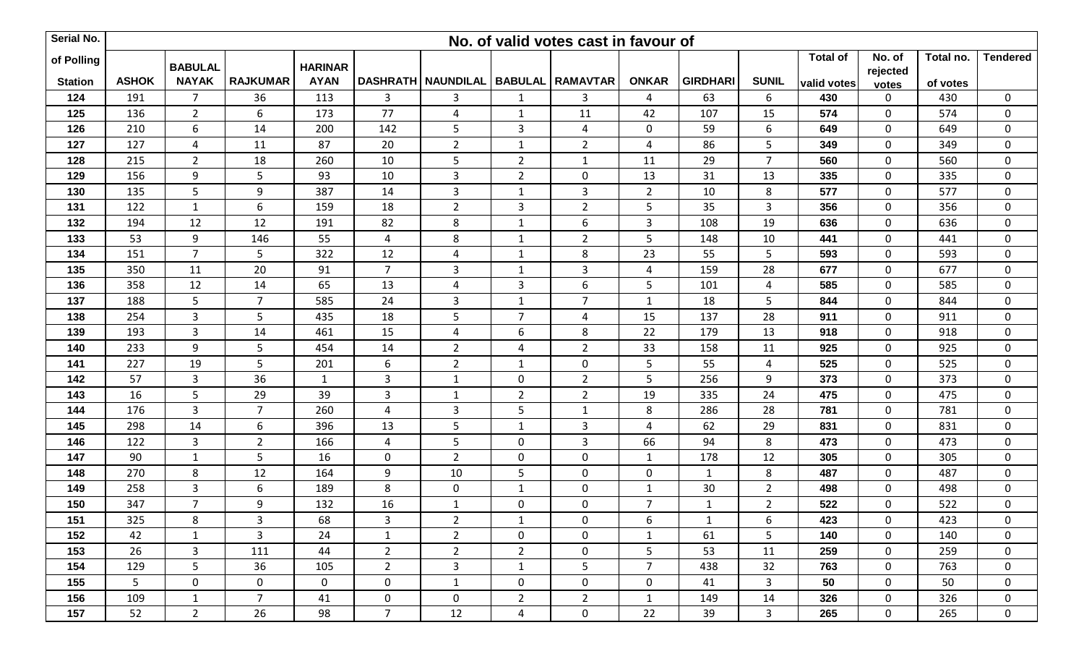| Serial No.     |                |                |                 |                |                 |                                           |                | No. of valid votes cast in favour of |                |                 |                |                 |                   |           |                  |
|----------------|----------------|----------------|-----------------|----------------|-----------------|-------------------------------------------|----------------|--------------------------------------|----------------|-----------------|----------------|-----------------|-------------------|-----------|------------------|
| of Polling     |                | <b>BABULAL</b> |                 | <b>HARINAR</b> |                 |                                           |                |                                      |                |                 |                | <b>Total of</b> | No. of            | Total no. | <b>Tendered</b>  |
| <b>Station</b> | <b>ASHOK</b>   | <b>NAYAK</b>   | <b>RAJKUMAR</b> | <b>AYAN</b>    |                 | DASHRATH   NAUNDILAL   BABULAL   RAMAVTAR |                |                                      | <b>ONKAR</b>   | <b>GIRDHARI</b> | <b>SUNIL</b>   | valid votes     | rejected<br>votes | of votes  |                  |
| 124            | 191            | $\overline{7}$ | 36              | 113            | 3               | 3                                         | $\mathbf{1}$   | $\mathbf{3}$                         | $\overline{4}$ | 63              | 6              | 430             | 0                 | 430       | $\mathbf 0$      |
| 125            | 136            | $\overline{2}$ | 6               | 173            | 77              | $\overline{4}$                            | 1              | 11                                   | 42             | 107             | 15             | 574             | $\mathbf 0$       | 574       | $\mathbf 0$      |
| 126            | 210            | 6              | 14              | 200            | 142             | 5                                         | 3              | 4                                    | $\mathbf 0$    | 59              | 6              | 649             | 0                 | 649       | 0                |
| 127            | 127            | $\overline{4}$ | 11              | 87             | 20              | $\overline{2}$                            | 1              | $\overline{2}$                       | 4              | 86              | 5              | 349             | $\mathbf 0$       | 349       | $\mathbf 0$      |
| 128            | 215            | $\overline{2}$ | 18              | 260            | 10              | 5                                         | $\overline{2}$ | $\mathbf{1}$                         | 11             | 29              | $\overline{7}$ | 560             | $\mathbf 0$       | 560       | $\mathbf 0$      |
| 129            | 156            | 9              | 5 <sub>1</sub>  | 93             | 10              | $\mathbf{3}$                              | $\overline{2}$ | $\mathbf 0$                          | 13             | 31              | 13             | 335             | $\mathbf 0$       | 335       | $\mathbf 0$      |
| 130            | 135            | 5              | 9               | 387            | 14              | $\mathbf{3}$                              | $\mathbf{1}$   | $\mathsf 3$                          | $\overline{2}$ | 10              | 8              | 577             | $\mathbf 0$       | 577       | $\mathbf 0$      |
| 131            | 122            | $\mathbf{1}$   | 6               | 159            | 18              | $\overline{2}$                            | 3              | $\overline{2}$                       | 5              | 35              | $\mathbf{3}$   | 356             | $\mathbf 0$       | 356       | $\mathbf 0$      |
| 132            | 194            | 12             | 12              | 191            | 82              | 8                                         | $\mathbf{1}$   | $\boldsymbol{6}$                     | 3              | 108             | 19             | 636             | $\mathbf 0$       | 636       | $\pmb{0}$        |
| 133            | 53             | 9              | 146             | 55             | 4               | 8                                         | 1              | $\overline{2}$                       | 5              | 148             | 10             | 441             | $\mathbf 0$       | 441       | $\mathbf 0$      |
| 134            | 151            | $\overline{7}$ | 5 <sup>1</sup>  | 322            | 12              | $\overline{4}$                            | $\mathbf{1}$   | 8                                    | 23             | 55              | 5              | 593             | $\mathbf 0$       | 593       | $\pmb{0}$        |
| 135            | 350            | 11             | $20\,$          | 91             | $\overline{7}$  | $\mathbf{3}$                              | $\mathbf 1$    | $\mathsf 3$                          | 4              | 159             | 28             | 677             | $\mathbf 0$       | 677       | $\mathbf 0$      |
| 136            | 358            | 12             | 14              | 65             | 13              | $\overline{4}$                            | 3              | $\boldsymbol{6}$                     | 5              | 101             | $\overline{4}$ | 585             | $\mathbf 0$       | 585       | $\mathbf 0$      |
| 137            | 188            | 5              | $\overline{7}$  | 585            | 24              | $\mathbf{3}$                              | $\mathbf{1}$   | $\overline{7}$                       | $\mathbf{1}$   | 18              | 5              | 844             | $\mathbf 0$       | 844       | $\boldsymbol{0}$ |
| 138            | 254            | $\overline{3}$ | 5               | 435            | 18              | 5                                         | $\overline{7}$ | $\overline{4}$                       | 15             | 137             | 28             | 911             | $\mathbf 0$       | 911       | $\mathbf 0$      |
| 139            | 193            | $\overline{3}$ | 14              | 461            | 15              | $\overline{4}$                            | 6              | 8                                    | 22             | 179             | 13             | 918             | $\mathbf 0$       | 918       | $\mathbf 0$      |
| 140            | 233            | $\overline{9}$ | 5               | 454            | 14              | $\overline{2}$                            | 4              | $\overline{2}$                       | 33             | 158             | 11             | 925             | $\mathbf 0$       | 925       | $\mathbf 0$      |
| 141            | 227            | 19             | 5               | 201            | 6               | $\overline{2}$                            | $\mathbf{1}$   | $\mathbf 0$                          | 5              | 55              | $\overline{4}$ | 525             | $\mathbf 0$       | 525       | $\pmb{0}$        |
| 142            | 57             | 3              | 36              | $\mathbf{1}$   | $\mathbf{3}$    | $\mathbf{1}$                              | $\mathbf 0$    | $\overline{2}$                       | 5              | 256             | 9              | 373             | $\pmb{0}$         | 373       | $\pmb{0}$        |
| 143            | 16             | 5              | 29              | 39             | 3               | $\mathbf{1}$                              | $\overline{2}$ | $\overline{2}$                       | 19             | 335             | 24             | 475             | $\mathbf 0$       | 475       | $\mathbf 0$      |
| 144            | 176            | $\overline{3}$ | $\overline{7}$  | 260            | 4               | $\mathbf{3}$                              | 5              | $\mathbf 1$                          | 8              | 286             | 28             | 781             | $\mathbf 0$       | 781       | $\pmb{0}$        |
| 145            | 298            | 14             | 6               | 396            | 13              | 5                                         | -1             | 3                                    | 4              | 62              | 29             | 831             | 0                 | 831       | $\mathbf 0$      |
| 146            | 122            | $\overline{3}$ | $2^{\circ}$     | 166            | 4               | 5                                         | $\mathbf 0$    | $\overline{3}$                       | 66             | 94              | 8              | 473             | $\mathbf 0$       | 473       | $\pmb{0}$        |
| 147            | 90             | $\mathbf{1}$   | 5               | 16             | $\mathbf 0$     | $\overline{2}$                            | $\mathbf 0$    | $\pmb{0}$                            | $\mathbf{1}$   | 178             | 12             | 305             | $\mathbf 0$       | 305       | $\mathbf 0$      |
| 148            | 270            | 8              | 12              | 164            | 9               | 10                                        | 5              | $\mathbf 0$                          | $\mathbf 0$    | $\mathbf{1}$    | 8              | 487             | $\mathbf 0$       | 487       | $\mathbf 0$      |
| 149            | 258            | 3              | 6               | 189            | 8               | $\mathbf 0$                               | 1              | $\boldsymbol{0}$                     | $1\,$          | 30              | $\overline{2}$ | 498             | $\mathbf 0$       | 498       | $\mathbf 0$      |
| 150            | 347            | $\overline{7}$ | 9               | 132            | 16              | $\mathbf{1}$                              | $\mathbf 0$    | $\boldsymbol{0}$                     | $\overline{7}$ | $\mathbf{1}$    | $\overline{2}$ | 522             | $\mathbf 0$       | 522       | $\mathbf 0$      |
| 151            | 325            | 8              | 3               | 68             | $\mathbf{3}$    | $2^{\circ}$                               | $\mathbf{1}$   | 0                                    | 6              | $\mathbf{1}$    | 6              | 423             | $\mathbf 0$       | 423       | 0                |
| 152            | 42             | $\mathbf{1}$   | $\overline{3}$  | 24             | $\mathbf{1}$    | $2^{\circ}$                               | $\mathbf{0}$   | $\mathbf 0$                          | $\mathbf{1}$   | 61              | 5              | 140             | $\mathbf 0$       | 140       | $\mathbf 0$      |
| 153            | 26             | 3              | 111             | 44             | $\overline{2}$  | $\overline{2}$                            | $2^{\circ}$    | $\mathbf 0$                          | 5              | 53              | 11             | 259             | $\mathbf 0$       | 259       | $\mathbf 0$      |
| 154            | 129            | 5              | 36              | 105            | $\overline{2}$  | $\mathbf{3}$                              | $\mathbf{1}$   | 5                                    | $\overline{7}$ | 438             | 32             | 763             | 0                 | 763       | $\boldsymbol{0}$ |
| 155            | 5 <sub>1</sub> | $\mathbf 0$    | $\mathbf 0$     | $\mathbf{0}$   | $\mathbf 0$     | $\mathbf{1}$                              | $\mathbf 0$    | $\mathbf 0$                          | $\mathbf 0$    | 41              | $\mathbf{3}$   | 50              | 0                 | 50        | $\mathbf 0$      |
| 156            | 109            | 1              | $7^{\circ}$     | 41             | $\mathbf 0$     | $\mathbf{0}$                              | $2^{\circ}$    | $\overline{2}$                       | $\mathbf{1}$   | 149             | 14             | 326             | $\mathbf 0$       | 326       | $\mathbf 0$      |
| 157            | 52             | $\overline{2}$ | 26              | 98             | $7\overline{ }$ | 12                                        | 4              | $\mathbf 0$                          | 22             | 39              | $\mathbf{3}$   | 265             | $\mathbf 0$       | 265       | $\boldsymbol{0}$ |